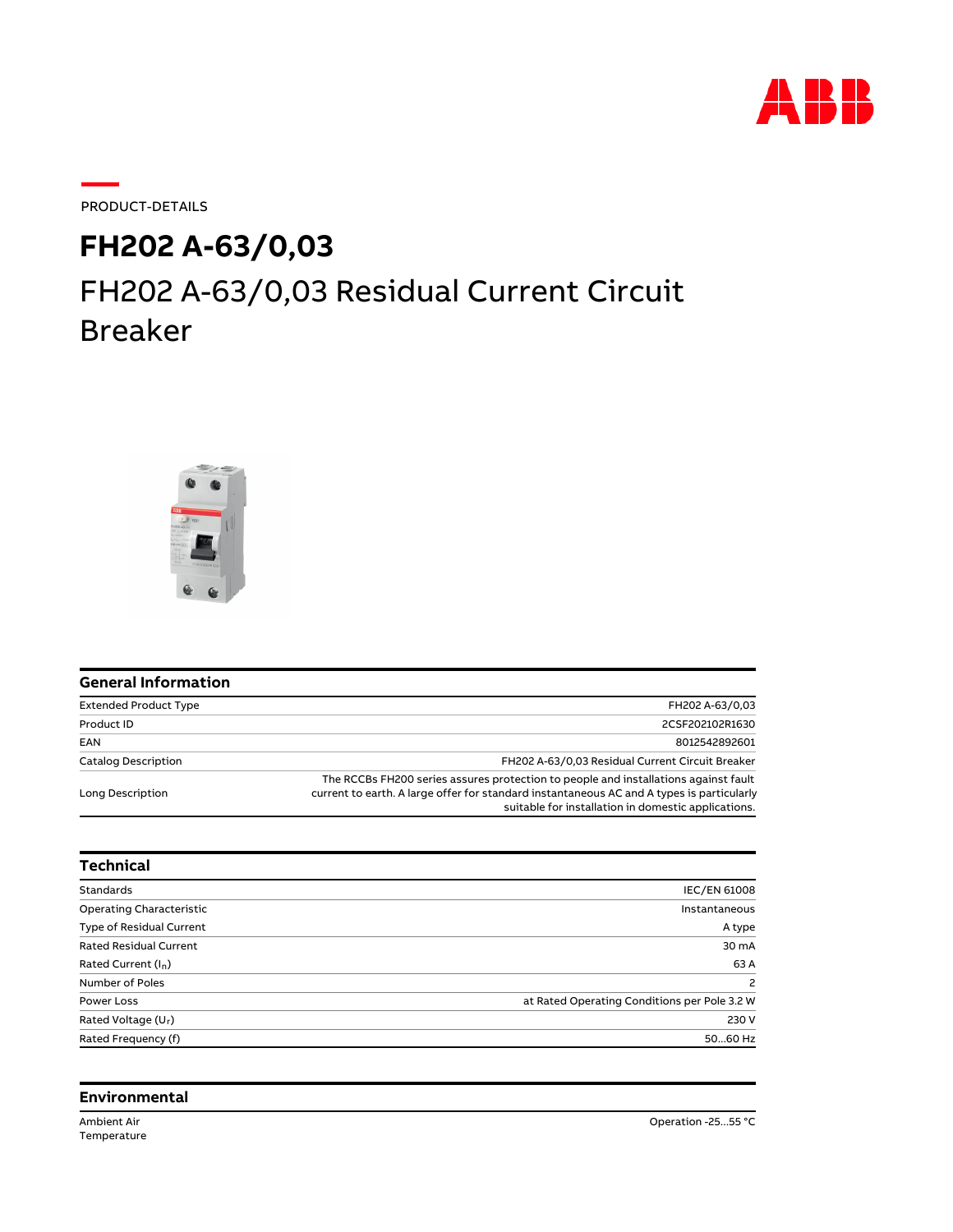

PRODUCT-DETAILS

## **FH202 A-63/0,03**

## FH202 A-63/0,03 Residual Current Circuit Breaker



| <b>General Information</b>   |                                                                                                                                                                                                                                         |
|------------------------------|-----------------------------------------------------------------------------------------------------------------------------------------------------------------------------------------------------------------------------------------|
| <b>Extended Product Type</b> | FH202 A-63/0.03                                                                                                                                                                                                                         |
| Product ID                   | 2CSF202102R1630                                                                                                                                                                                                                         |
| EAN                          | 8012542892601                                                                                                                                                                                                                           |
| <b>Catalog Description</b>   | FH202 A-63/0.03 Residual Current Circuit Breaker                                                                                                                                                                                        |
| Long Description             | The RCCBs FH200 series assures protection to people and installations against fault<br>current to earth. A large offer for standard instantaneous AC and A types is particularly<br>suitable for installation in domestic applications. |

| <b>Technical</b>                |                                              |
|---------------------------------|----------------------------------------------|
| <b>Standards</b>                | <b>IEC/EN 61008</b>                          |
| <b>Operating Characteristic</b> | Instantaneous                                |
| <b>Type of Residual Current</b> | A type                                       |
| <b>Rated Residual Current</b>   | 30 mA                                        |
| Rated Current (I <sub>n</sub> ) | 63 A                                         |
| Number of Poles                 | $\overline{c}$                               |
| Power Loss                      | at Rated Operating Conditions per Pole 3.2 W |
| Rated Voltage (U <sub>r</sub> ) | 230 V                                        |
| Rated Frequency (f)             | 5060 Hz                                      |

## **Environmental**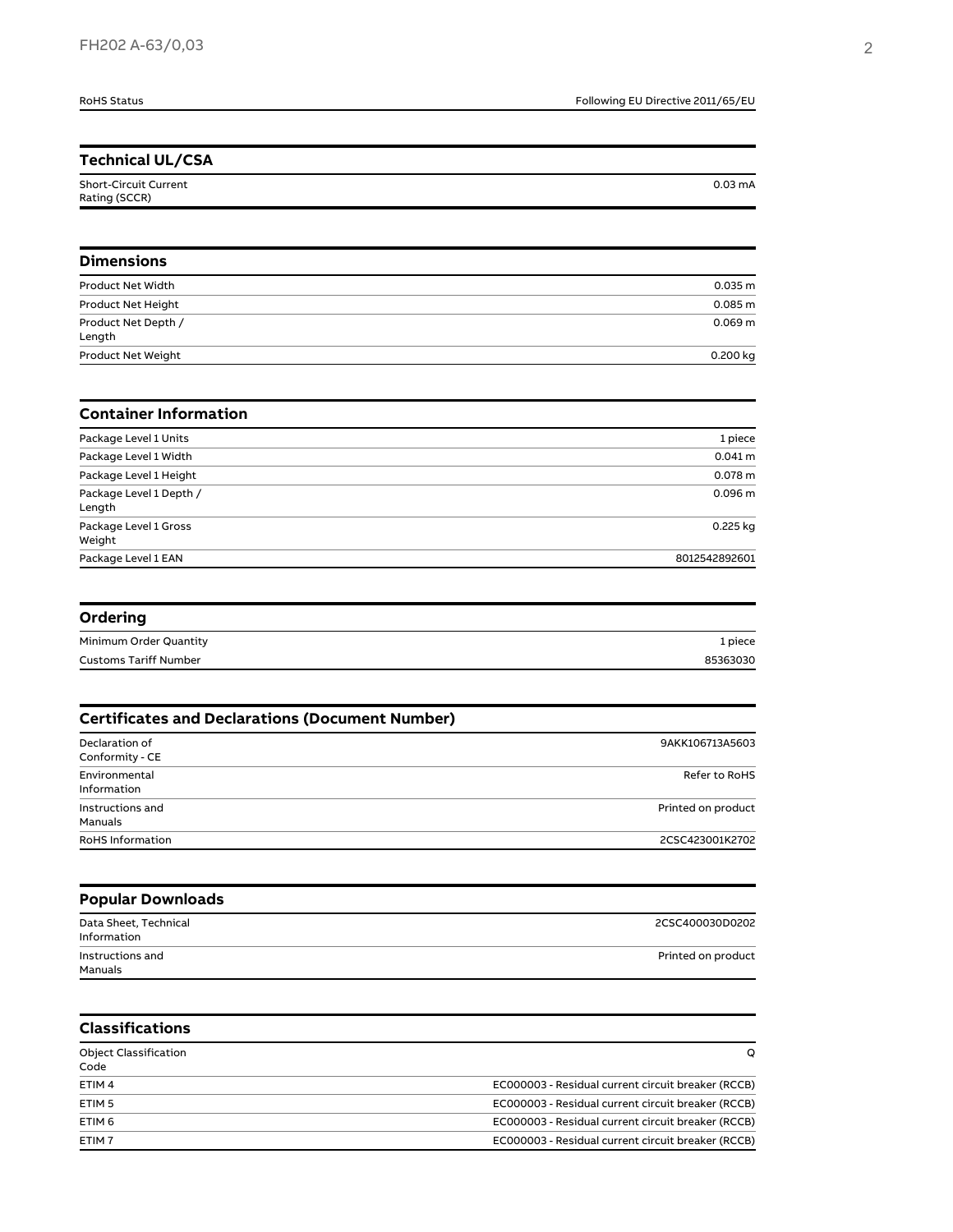| <b>RoHS Status</b>                                     | Following EU Directive 2011/65/EU |
|--------------------------------------------------------|-----------------------------------|
|                                                        |                                   |
| <b>Technical UL/CSA</b>                                |                                   |
| <b>Short-Circuit Current</b><br>Rating (SCCR)          | $0.03 \text{ mA}$                 |
| <b>Dimensions</b>                                      |                                   |
| Product Net Width                                      | 0.035 m                           |
| Product Net Height                                     | 0.085 m                           |
| Product Net Depth /<br>Length                          | 0.069 <sub>m</sub>                |
| Product Net Weight                                     | 0.200 kg                          |
| <b>Container Information</b>                           |                                   |
| Package Level 1 Units                                  | 1 piece                           |
| Package Level 1 Width                                  | $0.041 \, m$                      |
| Package Level 1 Height                                 | 0.078 <sub>m</sub>                |
| Package Level 1 Depth /<br>Length                      | 0.096 m                           |
| Package Level 1 Gross<br>Weight                        | 0.225 kg                          |
| Package Level 1 EAN                                    | 8012542892601                     |
| Ordering                                               |                                   |
| Minimum Order Quantity                                 | 1 piece                           |
| <b>Customs Tariff Number</b>                           | 85363030                          |
| <b>Certificates and Declarations (Document Number)</b> |                                   |
| Declaration of<br>Conformity - CE                      | 9AKK106713A5603                   |
| Environmental<br>Information                           | Refer to RoHS                     |
| Instructions and<br>Manuals                            | Printed on product                |
| <b>RoHS Information</b>                                | 2CSC423001K2702                   |

| <b>Popular Downloads</b>             |                    |  |
|--------------------------------------|--------------------|--|
| Data Sheet, Technical<br>Information | 2CSC400030D0202    |  |
| Instructions and<br>Manuals          | Printed on product |  |

| <b>Classifications</b>               |                                                    |
|--------------------------------------|----------------------------------------------------|
| <b>Object Classification</b><br>Code | O                                                  |
| ETIM <sub>4</sub>                    | EC000003 - Residual current circuit breaker (RCCB) |
| ETIM <sub>5</sub>                    | EC000003 - Residual current circuit breaker (RCCB) |
| ETIM <sub>6</sub>                    | EC000003 - Residual current circuit breaker (RCCB) |
| ETIM <sub>7</sub>                    | EC000003 - Residual current circuit breaker (RCCB) |